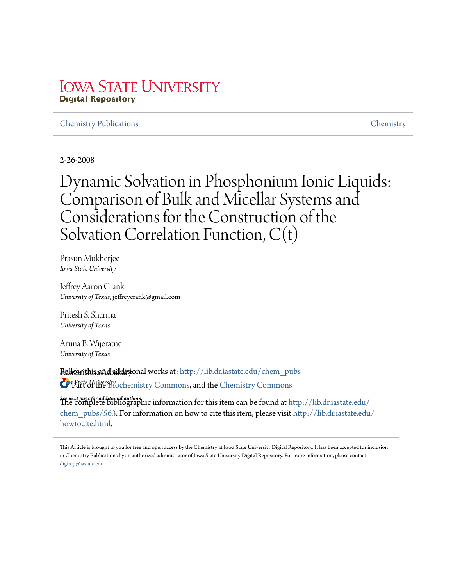# **IOWA STATE UNIVERSITY Digital Repository**

# Chemistry Publications Chemistry

2-26-2008

Dynamic Solvation in Phosphonium Ionic Liquids: Comparison of Bulk and Micellar Systems and Considerations for the Construction of the Solvation Correlation Function, C(t)

Prasun Mukherjee *Iowa State University*

Jeffrey Aaron Crank *University of Texas*, jeffreycrank@gmail.com

Pritesh S. Sharma *University of Texas*

Aruna B. Wijeratne *University of Texas*

**Rollowithis aAd laikditional works at: http://lib.dr.iastate.edu/chem\_pubs** *Iowa State University* Part of the Biochemistry Commons, and the Chemistry Commons

*See next page for additional authors* The complete bibliographic information for this item can be found at http://lib.dr.iastate.edu/ chem\_pubs/563. For information on how to cite this item, please visit http://lib.dr.iastate.edu/ howtocite.html.

This Article is brought to you for free and open access by the Chemistry at Iowa State University Digital Repository. It has been accepted for inclusion in Chemistry Publications by an authorized administrator of Iowa State University Digital Repository. For more information, please contact digirep@iastate.edu.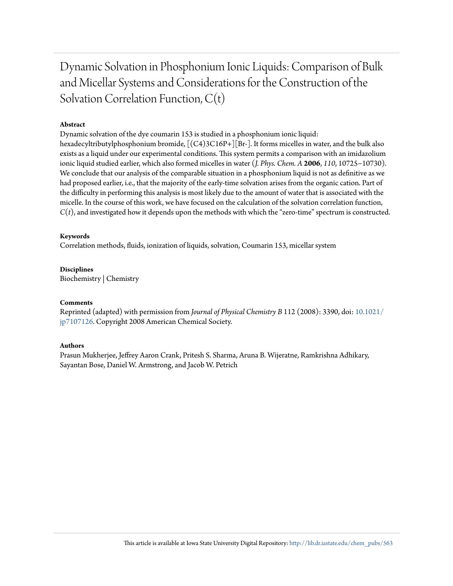Dynamic Solvation in Phosphonium Ionic Liquids: Comparison of Bulk and Micellar Systems and Considerations for the Construction of the Solvation Correlation Function, C(t)

# **Abstract**

Dynamic solvation of the dye coumarin 153 is studied in a phosphonium ionic liquid: hexadecyltributylphosphonium bromide,  $[(C4)3C16P+][Br-]$ . It forms micelles in water, and the bulk also exists as a liquid under our experimental conditions. This system permits a comparison with an imidazolium ionic liquid studied earlier, which also formed micelles in water (*J. Phys. Chem. A* **2006**, *110*, 10725−10730). We conclude that our analysis of the comparable situation in a phosphonium liquid is not as definitive as we had proposed earlier, i.e., that the majority of the early-time solvation arises from the organic cation. Part of the difficulty in performing this analysis is most likely due to the amount of water that is associated with the micelle. In the course of this work, we have focused on the calculation of the solvation correlation function, *C*(*t*), and investigated how it depends upon the methods with which the "zero-time" spectrum is constructed.

## **Keywords**

Correlation methods, fluids, ionization of liquids, solvation, Coumarin 153, micellar system

**Disciplines** Biochemistry | Chemistry

## **Comments**

Reprinted (adapted) with permission from *Journal of Physical Chemistry B* 112 (2008): 3390, doi: 10.1021/ jp7107126. Copyright 2008 American Chemical Society.

## **Authors**

Prasun Mukherjee, Jeffrey Aaron Crank, Pritesh S. Sharma, Aruna B. Wijeratne, Ramkrishna Adhikary, Sayantan Bose, Daniel W. Armstrong, and Jacob W. Petrich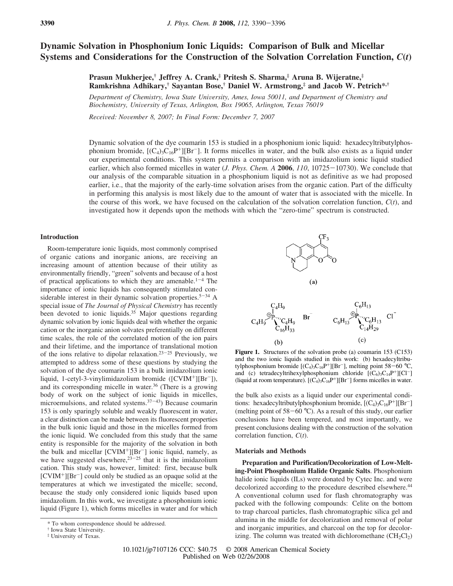# **Dynamic Solvation in Phosphonium Ionic Liquids: Comparison of Bulk and Micellar Systems and Considerations for the Construction of the Solvation Correlation Function,** *C***(***t***)**

**Prasun Mukherjee,† Jeffrey A. Crank,‡ Pritesh S. Sharma,‡ Aruna B. Wijeratne,‡ Ramkrishna Adhikary,† Sayantan Bose,† Daniel W. Armstrong,‡ and Jacob W. Petrich\*,†**

Department of Chemistry, Iowa State University, Ames, Iowa 50011, and Department of Chemistry and *Biochemistry, Uni*V*ersity of Texas, Arlington, Box 19065, Arlington, Texas 76019*

*Recei*V*ed: No*V*ember 8, 2007; In Final Form: December 7, 2007*

Dynamic solvation of the dye coumarin 153 is studied in a phosphonium ionic liquid: hexadecyltributylphosphonium bromide,  $[(C_4)_3C_{16}P^+] [Br^-]$ . It forms micelles in water, and the bulk also exists as a liquid under our experimental conditions. This system permits a comparison with an imidazolium ionic liquid studied earlier, which also formed micelles in water (*J. Phys. Chem. A* **2006**, *110*, 10725-10730). We conclude that our analysis of the comparable situation in a phosphonium liquid is not as definitive as we had proposed earlier, i.e., that the majority of the early-time solvation arises from the organic cation. Part of the difficulty in performing this analysis is most likely due to the amount of water that is associated with the micelle. In the course of this work, we have focused on the calculation of the solvation correlation function,  $C(t)$ , and investigated how it depends upon the methods with which the "zero-time" spectrum is constructed.

#### **Introduction**

Room-temperature ionic liquids, most commonly comprised of organic cations and inorganic anions, are receiving an increasing amount of attention because of their utility as environmentally friendly, "green" solvents and because of a host of practical applications to which they are amenable.<sup>1-4</sup> The importance of ionic liquids has consequently stimulated considerable interest in their dynamic solvation properties.<sup>5-34</sup> A special issue of *The Journal of Physical Chemistry* has recently been devoted to ionic liquids.<sup>35</sup> Major questions regarding dynamic solvation by ionic liquids deal with whether the organic cation or the inorganic anion solvates preferentially on different time scales, the role of the correlated motion of the ion pairs and their lifetime, and the importance of translational motion of the ions relative to dipolar relaxation.<sup>23</sup>-<sup>25</sup> Previously, we attempted to address some of these questions by studying the solvation of the dye coumarin 153 in a bulk imidazolium ionic liquid, 1-cetyl-3-vinylimidazolium bromide ([CVIM<sup>+</sup>][Br<sup>-</sup>]), and its corresponding micelle in water.<sup>36</sup> (There is a growing body of work on the subject of ionic liquids in micelles, microemulsions, and related systems. $37-43$ ) Because coumarin 153 is only sparingly soluble and weakly fluorescent in water, a clear distinction can be made between its fluorescent properties in the bulk ionic liquid and those in the micelles formed from the ionic liquid. We concluded from this study that the same entity is responsible for the majority of the solvation in both the bulk and micellar [CVIM<sup>+</sup>][Br<sup>-</sup>] ionic liquid, namely, as we have suggested elsewhere, $23-25$  that it is the imidazolium cation. This study was, however, limited: first, because bulk  $[CVIM^+][Br^-]$  could only be studied as an opaque solid at the temperatures at which we investigated the micelle; second, because the study only considered ionic liquids based upon imidazolium. In this work, we investigate a phosphonium ionic liquid (Figure 1), which forms micelles in water and for which



**Figure 1.** Structures of the solvation probe (a) coumarin 153 (C153) and the two ionic liquids studied in this work: (b) hexadecyltributylphosphonium bromide  $[(C_4)_3C_{16}P^+][Br^-]$ , melting point 58–60 °C, and (c) tetradecyltrihexylphosphonium chloride  $[(C_6)_3C_{14}P^+][C^-]$ (liquid at room temperature).  $[(C_4)_3C_{16}P^+][Br^-]$  forms micelles in water.

the bulk also exists as a liquid under our experimental conditions: hexadecyltributylphosphonium bromide,  $[(C_4)_3C_{16}P^+] [Br^-]$ (melting point of  $58-60$  °C). As a result of this study, our earlier conclusions have been tempered, and most importantly, we present conclusions dealing with the construction of the solvation correlation function, *C*(*t*).

#### **Materials and Methods**

**Preparation and Purification/Decolorization of Low-Melting-Point Phosphonium Halide Organic Salts**. Phosphonium halide ionic liquids (ILs) were donated by Cytec Inc. and were decolorized according to the procedure described elsewhere.<sup>44</sup> A conventional column used for flash chromatography was packed with the following compounds: Celite on the bottom to trap charcoal particles, flash chromatographic silica gel and alumina in the middle for decolorization and removal of polar and inorganic impurities, and charcoal on the top for decolorizing. The column was treated with dichloromethane  $(CH_2Cl_2)$ 

<sup>\*</sup> To whom correspondence should be addressed.

<sup>†</sup> Iowa State University.

<sup>‡</sup> University of Texas.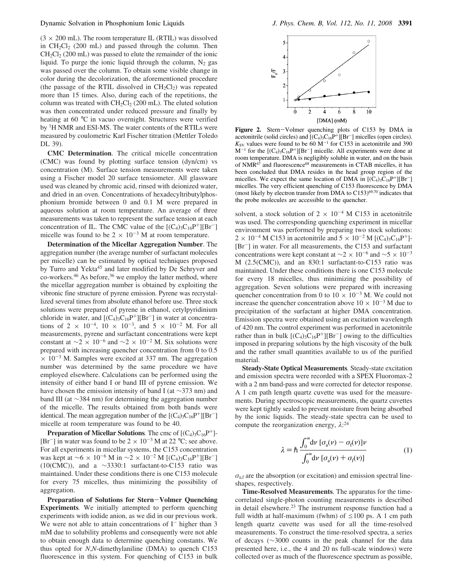$(3 \times 200 \text{ mL})$ . The room temperature IL (RTIL) was dissolved in  $CH_2Cl_2$  (200 mL) and passed through the column. Then  $CH<sub>2</sub>Cl<sub>2</sub>$  (200 mL) was passed to elute the remainder of the ionic liquid. To purge the ionic liquid through the column,  $N_2$  gas was passed over the column. To obtain some visible change in color during the decolorization, the aforementioned procedure (the passage of the RTIL dissolved in  $CH_2Cl_2$ ) was repeated more than 15 times. Also, during each of the repetitions, the column was treated with  $CH_2Cl_2$  (200 mL). The eluted solution was then concentrated under reduced pressure and finally by heating at 60 °C in vacuo overnight. Structures were verified by <sup>1</sup>H NMR and ESI-MS. The water contents of the RTILs were measured by coulometric Karl Fischer titration (Mettler Toledo DL 39).

**CMC Determination**. The critical micelle concentration (CMC) was found by plotting surface tension (dyn/cm) vs concentration (M). Surface tension measurements were taken using a Fischer model 20 surface tensiometer. All glassware used was cleaned by chromic acid, rinsed with deionized water, and dried in an oven. Concentrations of hexadecyltributylphosphonium bromide between 0 and 0.1 M were prepared in aqueous solution at room temperature. An average of three measurements was taken to represent the surface tension at each concentration of IL. The CMC value of the  $[(C_4)_3C_{16}P^+][Br^-]$ micelle was found to be  $2 \times 10^{-3}$  M at room temperature.

**Determination of the Micellar Aggregation Number**. The aggregation number (the average number of surfactant molecules per micelle) can be estimated by optical techniques proposed by Turro and Yekta<sup>45</sup> and later modified by De Schryver and  $\frac{1}{20}$  co-workers.<sup>46</sup> As before,<sup>36</sup> we employ the latter method, where the micellar aggregation number is obtained by exploiting the vibronic fine structure of pyrene emission. Pyrene was recrystallized several times from absolute ethanol before use. Three stock solutions were prepared of pyrene in ethanol, cetylpyridinium chloride in water, and  $[(C_4)_3C_{16}P^+][Br^-]$  in water at concentrations of 2  $\times$  10<sup>-4</sup>, 10  $\times$  10<sup>-3</sup>, and 5  $\times$  10<sup>-2</sup> M. For all measurements, pyrene and surfactant concentrations were kept constant at  $\sim$ 2 × 10<sup>-6</sup> and  $\sim$ 2 × 10<sup>-2</sup> M. Six solutions were prepared with increasing quencher concentration from 0 to 0.5  $\times$  10<sup>-3</sup> M. Samples were excited at 337 nm. The aggregation number was determined by the same procedure we have employed elsewhere. Calculations can be performed using the intensity of either band I or band III of pyrene emission. We have chosen the emission intensity of band I (at ∼373 nm) and band III (at ∼384 nm) for determining the aggregation number of the micelle. The results obtained from both bands were identical. The mean aggregation number of the  $[(C_4)_3C_{16}P^+] [Br^-]$ micelle at room temperature was found to be 40.

**Preparation of Micellar Solutions**. The cmc of  $[(C_4)_3C_{16}P^+]$ -[Br<sup>-</sup>] in water was found to be  $2 \times 10^{-3}$  M at 22 °C; see above. For all experiments in micellar systems, the C153 concentration was kept at ~6 × 10<sup>-6</sup> M in ~2 × 10<sup>-2</sup> M [(C<sub>4</sub>)<sub>3</sub>C<sub>16</sub>P<sup>+</sup>][Br<sup>-</sup>] (10(CMC)), and a  $\sim$ 3330:1 surfactant-to-C153 ratio was maintained. Under these conditions there is one C153 molecule for every 75 micelles, thus minimizing the possibility of aggregation.

**Preparation of Solutions for Stern**-**Volmer Quenching Experiments***.* We initially attempted to perform quenching experiments with iodide anion, as we did in our previous work. We were not able to attain concentrations of  $I^-$  higher than 3 mM due to solubility problems and consequently were not able to obtain enough data to determine quenching constants. We thus opted for *N*,*N*-dimethylaniline (DMA) to quench C153 fluorescence in this system. For quenching of C153 in bulk



**Figure 2.** Stern-Volmer quenching plots of C153 by DMA in acetonitrile (solid circles) and  $[(C_4)_3C_{16}P^+][Br^-]$  micelles (open circles).  $K_{SV}$  values were found to be 60 M<sup>-1</sup> for C153 in acetonitrile and 390  $M^{-1}$  for the  $[(C_4)_3C_{16}P^+][Br^-]$  micelle. All experiments were done at room temperature. DMA is negligibly soluble in water, and on the basis of NMR<sup>67</sup> and fluorescence<sup>68</sup> measurements in CTAB micelles, it has been concluded that DMA resides in the head group region of the micelles. We expect the same location of DMA in  $[(C_4)_3C_{16}P^+] [Br^-]$ micelles. The very efficient quenching of C153 fluorescence by DMA (most likely by electron transfer from DMA to  $C153$ )<sup>69,70</sup> indicates that the probe molecules are accessible to the quencher.

solvent, a stock solution of  $2 \times 10^{-4}$  M C153 in acetonitrile was used. The corresponding quenching experiment in micellar environment was performed by preparing two stock solutions:  $2 \times 10^{-4}$  M C153 in acetonitrile and  $5 \times 10^{-2}$  M [(C<sub>4</sub>)<sub>3</sub>C<sub>16</sub>P<sup>+</sup>]-[Br<sup>-</sup>] in water. For all measurements, the C153 and surfactant concentrations were kept constant at  $\sim$ 2 × 10<sup>-6</sup> and  $\sim$ 5 × 10<sup>-3</sup> M (2.5(CMC)), and an 830:1 surfactant-to-C153 ratio was maintained. Under these conditions there is one C153 molecule for every 18 micelles, thus minimizing the possibility of aggregation. Seven solutions were prepared with increasing quencher concentration from 0 to  $10 \times 10^{-3}$  M. We could not increase the quencher concentration above  $10 \times 10^{-3}$  M due to precipitation of the surfactant at higher DMA concentration. Emission spectra were obtained using an excitation wavelength of 420 nm. The control experiment was performed in acetonitrile rather than in bulk  $[(C_4)_3C_{16}P^+][Br^-]$  owing to the difficulties imposed in preparing solutions by the high viscosity of the bulk and the rather small quantities available to us of the purified material.

**Steady-State Optical Measurements***.* Steady-state excitation and emission spectra were recorded with a SPEX Fluoromax-2 with a 2 nm band-pass and were corrected for detector response. A 1 cm path length quartz cuvette was used for the measurements. During spectroscopic measurements, the quartz cuvettes were kept tightly sealed to prevent moisture from being absorbed by the ionic liquids. The steady-state spectra can be used to compute the reorganization energy,  $\lambda$ :<sup>24</sup>

$$
\lambda = \hbar \frac{\int_0^\infty d\nu \left[ \sigma_a(\nu) - \sigma_f(\nu) \right] \nu}{\int_0^\infty d\nu \left[ \sigma_a(\nu) + \sigma_f(\nu) \right]}
$$
(1)

 $\sigma_{\text{a,f}}$  are the absorption (or excitation) and emission spectral lineshapes, respectively.

**Time-Resolved Measurements**. The apparatus for the timecorrelated single-photon counting measurements is described in detail elsewhere.<sup>23</sup> The instrument response function had a full width at half-maximum (fwhm) of  $\leq$ 100 ps. A 1 cm path length quartz cuvette was used for all the time-resolved measurements. To construct the time-resolved spectra, a series of decays (∼3000 counts in the peak channel for the data presented here, i.e., the 4 and 20 ns full-scale windows) were collected over as much of the fluorescence spectrum as possible,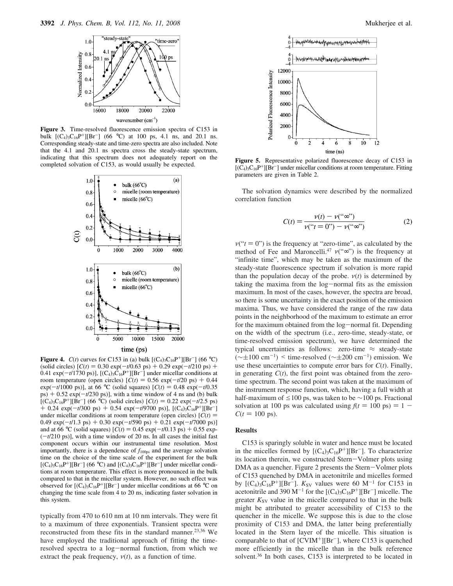

**Figure 3.** Time-resolved fluorescence emission spectra of C153 in bulk  $[(C_4)_3C_{16}P^+][Br^-]$  (66 °C) at 100 ps, 4.1 ns, and 20.1 ns. Corresponding steady-state and time-zero spectra are also included. Note that the 4.1 and 20.1 ns spectra cross the steady-state spectrum, indicating that this spectrum does not adequately report on the completed solvation of C153, as would usually be expected.



**Figure 4.**  $C(t)$  curves for C153 in (a) bulk  $[(C_4)_3C_{16}P^+][Br^-]$  (66 °C) (solid circles) [*C*(*t*) ) 0.30 exp(-*t*/0.63 ps) + 0.29 exp(-*t*/210 ps) +  $(0.41 \exp(-t/1730 \text{ ps})]$ ,  $[(C_4)_3 \overline{C}_{16}P^+]$ [Br<sup>-</sup>] under micellar conditions at room temperature (open circles)  $[C(t) = 0.56 \exp(-t/20 \text{ ps}) + 0.44]$ exp( $-t/1000$  ps)], at 66 °C (solid squares)  $[C(t) = 0.48 \exp(-t/0.35$  $p$ s) + 0.52 exp( $-t/230$  ps)], with a time window of 4 ns and (b) bulk  $[(C_4)_3C_{16}P^+][\overline{Br}^-]$  (66 °C) (solid circles)  $[C(t) = 0.22 \exp(-t/2.5 \text{ ps})]$  $+$  0.24 exp( $-t/300$  ps)  $+$  0.54 exp( $-t/9700$  ps)], [(C<sub>4</sub>)<sub>3</sub>C<sub>16</sub>P<sup>+</sup>][Br<sup>-</sup>] under micellar conditions at room temperature (open circles)  $[C(t)]$ 0.49  $\exp(-t/1.3 \text{ ps}) + 0.30 \exp(-t/590 \text{ ps}) + 0.21 \exp(-t/7000 \text{ ps})$ and at 66 °C (solid squares)  $[C(t) = 0.45 \exp(-t/0.13 \text{ ps}) + 0.55 \exp(-t/0.13 \text{ fs})]$  $(-t/210 \text{ ps})$ ], with a time window of 20 ns. In all cases the initial fast component occurs within our instrumental time resolution. Most importantly, there is a dependence of  $f_{100ps}$  and the average solvation time on the choice of the time scale of the experiment for the bulk  $[(C_4)_3C_{16}P^+][Br^-]$  (66 °C) and  $[(C_4)_3C_{16}P^+][Br^-]$  under micellar conditions at room temperature. This effect is more pronounced in the bulk compared to that in the micellar system. However, no such effect was observed for  $[(C_4)_3C_{16}P^+][Br^-]$  under micellar conditions at 66 °C on changing the time scale from 4 to 20 ns, indicating faster solvation in this system.

typically from 470 to 610 nm at 10 nm intervals. They were fit to a maximum of three exponentials. Transient spectra were reconstructed from these fits in the standard manner.<sup>23,36</sup> We have employed the traditional approach of fitting the timeresolved spectra to a log-normal function, from which we extract the peak frequency,  $v(t)$ , as a function of time.



**Figure 5.** Representative polarized fluorescence decay of C153 in  $[(\tilde{C}_4)_3C_{16}P^+][Br^-]$  under micellar conditions at room temperature. Fitting parameters are given in Table 2.

The solvation dynamics were described by the normalized correlation function

$$
C(t) = \frac{\nu(t) - \nu(\text{``}\infty\text{''})}{\nu(\text{``}t = 0\text{''}) - \nu(\text{``}\infty\text{''})}
$$
(2)

 $v("t = 0")$  is the frequency at "zero-time", as calculated by the method of Fee and Maroncelli.<sup>47</sup>  $v("∞")$  is the frequency at "infinite time", which may be taken as the maximum of the steady-state fluorescence spectrum if solvation is more rapid than the population decay of the probe.  $v(t)$  is determined by taking the maxima from the log-normal fits as the emission maximum. In most of the cases, however, the spectra are broad, so there is some uncertainty in the exact position of the emission maxima. Thus, we have considered the range of the raw data points in the neighborhood of the maximum to estimate an error for the maximum obtained from the log-normal fit. Depending on the width of the spectrum (i.e., zero-time, steady-state, or time-resolved emission spectrum), we have determined the typical uncertainties as follows: zero-time  $\approx$  steady-state  $(\sim \pm 100 \text{ cm}^{-1})$  < time-resolved ( $\sim \pm 200 \text{ cm}^{-1}$ ) emission. We use these uncertainties to compute error bars for  $C(t)$ . Finally, in generating  $C(t)$ , the first point was obtained from the zerotime spectrum. The second point was taken at the maximum of the instrument response function, which, having a full width at half-maximum of  $\leq 100$  ps, was taken to be ∼100 ps. Fractional solvation at 100 ps was calculated using  $f(t) = 100 \text{ ps} = 1 C(t = 100 \text{ ps}).$ 

#### **Results**

C153 is sparingly soluble in water and hence must be located in the micelles formed by  $[(C_4)_3C_{16}P^+][Br^-]$ . To characterize its location therein, we constructed Stern-Volmer plots using DMA as a quencher. Figure 2 presents the Stern-Volmer plots of C153 quenched by DMA in acetonitrile and micelles formed by  $[(C_4)_3C_{16}P^+][Br^-]$ .  $K_{SV}$  values were 60 M<sup>-1</sup> for C153 in acetonitrile and 390  $M^{-1}$  for the  $[(C_4)_3C_{16}P^+][Br^-]$  micelle. The greater  $K_{SV}$  value in the micelle compared to that in the bulk might be attributed to greater accessibility of C153 to the quencher in the micelle. We suppose this is due to the close proximity of C153 and DMA, the latter being preferentially located in the Stern layer of the micelle. This situation is comparable to that of  $[CVIM^+][Br^-]$ , where C153 is quenched more efficiently in the micelle than in the bulk reference solvent.<sup>36</sup> In both cases, C153 is interpreted to be located in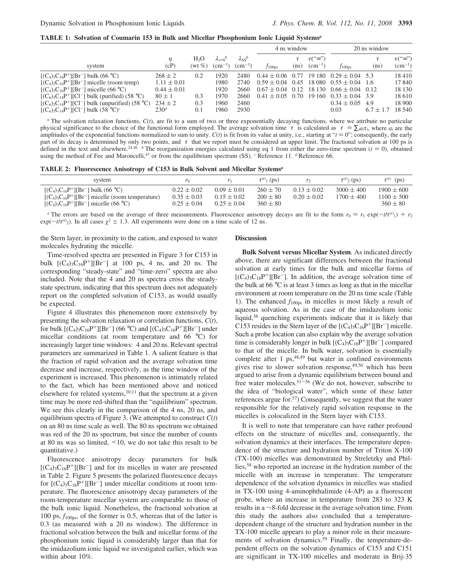**TABLE 1: Solvation of Coumarin 153 in Bulk and Micellar Phosphonium Ionic Liquid Systems***<sup>a</sup>*

|                                                                                                                                                                                                                                                                                                      |                                                                                                    |                          |                                              |                                              | 4 ns window                                           |                                |                                                         | 20 ns window                                                                                                                                                             |                                |                                                        |
|------------------------------------------------------------------------------------------------------------------------------------------------------------------------------------------------------------------------------------------------------------------------------------------------------|----------------------------------------------------------------------------------------------------|--------------------------|----------------------------------------------|----------------------------------------------|-------------------------------------------------------|--------------------------------|---------------------------------------------------------|--------------------------------------------------------------------------------------------------------------------------------------------------------------------------|--------------------------------|--------------------------------------------------------|
| system                                                                                                                                                                                                                                                                                               | (cP)                                                                                               | $H_2O$<br>$(wt\%)$       | $\lambda_{t=0}^p$<br>$(cm^{-1})$             | $\lambda$ ss <sup>b</sup><br>$\rm (cm^{-1})$ | $f_{100\text{ps}}$                                    | $\langle \tau \rangle$<br>(ns) | $\nu$ <sup>"<math>\infty</math></sup> ")<br>$(cm^{-1})$ | $f_{100\text{ps}}$                                                                                                                                                       | $\langle \tau \rangle$<br>(ns) | $\nu$ <sup>"<math>\infty</math>")</sup><br>$(cm^{-1})$ |
| $[(C_4)_3C_{16}P^+][Br^-]$ bulk (66 °C)<br>$[(C_4)_3C_{16}P^+][Br^-]$ micelle (room temp)<br>$[(C_4)_3C_{16}P^+][Br^-]$ micelle (66 °C)<br>$[(C_6)_3C_{14}P^+][Cl^-]$ bulk (purified) (58 °C)<br>$[(C_6)_3C_{14}P^+][Cl^-]$ bulk (unpurified) (58 °C)<br>$[(C_6)_3C_{14}P^+][Cl^-]$ bulk $(58 °C)^c$ | $268 \pm 2$<br>$1.11 \pm 0.01$<br>$0.44 \pm 0.01$<br>$80 \pm 1$<br>$234 \pm 2$<br>230 <sup>d</sup> | 0.2<br>0.3<br>0.3<br>0.1 | 1920<br>1980<br>1920<br>1970<br>1960<br>1960 | 2480<br>2740<br>2660<br>2660<br>2460<br>2930 | $0.44 \pm 0.06$<br>$0.67 \pm 0.04$<br>$0.41 \pm 0.05$ | 0.77<br>0.12<br>0.70           |                                                         | $19180$ $0.29 \pm 0.04$ 5.3<br>$0.59 \pm 0.04$ 0.45 18 080 0.55 $\pm$ 0.04 1.6<br>$18130$ $0.66 \pm 0.04$ 0.12<br>$19160$ $0.33 \pm 0.04$ 3.9<br>$0.34 \pm 0.05$<br>0.03 | -4.9<br>$6.7 \pm 1.7$          | 18410<br>17840<br>18 130<br>18 610<br>18 900<br>18 540 |

 $a$  The solvation relaxation functions,  $C(t)$ , are fit to a sum of two or three exponentially decaying functions, where we attribute no particular physical significance to the choice of the functional form employed. The average solvation time  $\langle \tau \rangle$  is calculated as  $\langle \tau \rangle = \sum_i a_i \tau_i$ , where  $a_i$  are the amplitudes of the exponential functions normalized to sum to unity.  $C(t)$  is fit from its value at unity, i.e., starting at " $t = 0$ "; consequently, the early part of its decay is determined by only two points, and  $\langle \tau \rangle$  that we report must be considered an upper limit. The fractional solvation at 100 ps is defined in the text and elsewhere.<sup>24,36</sup> <sup>b</sup> The reorganization energies calculated using eq 1 from either the zero-time spectrum ( $t = 0$ ), obtained using the method of Fee and Maroncelli,<sup>47</sup> or from the equilibrium spectrum (SS). <sup>*c*</sup> Reference 11. *d* Reference 66.

**TABLE 2: Fluorescence Anisotropy of C153 in Bulk Solvent and Micellar Systems***<sup>a</sup>*

| system                                                                                              |                                    |                                    | $\tau^{(r)}$ (ps)            | r <sub>2</sub>  | $\tau^{(r)}$ <sub>2</sub> (ps) | $\langle \tau^{\rm (r)} \rangle$ (ps) |
|-----------------------------------------------------------------------------------------------------|------------------------------------|------------------------------------|------------------------------|-----------------|--------------------------------|---------------------------------------|
| $[(C_4)_3C_{16}P^+][Br^-]$ bulk (66 °C)                                                             | $0.22 \pm 0.02$                    | $0.09 \pm 0.01$                    | $260 + 70$                   | $0.13 \pm 0.02$ | $3000 + 400$                   | $1900 \pm 600$                        |
| $[(C_4)_3C_{16}P^+][Br^-]$ micelle (room temperature)<br>$[(C_4)_3C_{16}P^+][Br^-]$ micelle (66 °C) | $0.35 \pm 0.03$<br>$0.25 \pm 0.04$ | $0.15 \pm 0.02$<br>$0.25 \pm 0.04$ | $200 \pm 80$<br>$360 \pm 80$ | $0.20 + 0.02$   | $1700 + 400$                   | $1100 \pm 500$<br>$360 \pm 80$        |

*a* The errors are based on the average of three measurements. Fluorescence anisotropy decays are fit to the form  $r_0 = r_1 \exp(-t/\tau^{(r)}_1) + r_2$  $\exp(-t/\tau^{(r)})$ . In all cases  $\chi^2 \le 1.3$ . All experiments were done on a time scale of 12 ns.

the Stern layer, in proximity to the cation, and exposed to water molecules hydrating the micelle.

Time-resolved spectra are presented in Figure 3 for C153 in bulk  $[(C_4)_3C_{16}P^+] [Br^-]$  at 100 ps, 4 ns, and 20 ns. The corresponding "steady-state" and "time-zero" spectra are also included. Note that the 4 and 20 ns spectra cross the steadystate spectrum, indicating that this spectrum does not adequately report on the completed solvation of C153, as would usually be expected.

Figure 4 illustrates this phenomenon more extensively by presenting the solvation relaxation or correlation functions, *C*(*t*), for bulk  $[(C_4)_3C_{16}P^+][Br^-]$  (66 °C) and  $[(C_4)_3C_{16}P^+][Br^-]$  under micellar conditions (at room temperature and 66 °C) for increasingly larger time windows: 4 and 20 ns. Relevant spectral parameters are summarized in Table 1. A salient feature is that the fraction of rapid solvation and the average solvation time decrease and increase, respectively, as the time window of the experiment is increased. This phenomenon is intimately related to the fact, which has been mentioned above and noticed elsewhere for related systems, $10,11$  that the spectrum at a given time may be more red-shifted than the "equilibrium" spectrum. We see this clearly in the comparison of the 4 ns, 20 ns, and equilibrium spectra of Figure 3. (We attempted to construct  $C(t)$ on an 80 ns time scale as well. The 80 ns spectrum we obtained was red of the 20 ns spectrum, but since the number of counts at 80 ns was so limited, <10, we do not take this result to be quantitative.)

Fluorescence anisotropy decay parameters for bulk  $[(C_4)_3C_{16}P^+][Br^-]$  and for its micelles in water are presented in Table 2. Figure 5 presents the polarized fluorescence decays for  $[(C_4)_3C_{16}P^+][Br^-]$  under micellar conditions at room temperature. The fluorescence anisotropy decay parameters of the room-temperature micellar system are comparable to those of the bulk ionic liquid. Nonetheless, the fractional solvation at 100 ps, *f*100ps, of the former is 0.5, whereas that of the latter is 0.3 (as measured with a 20 ns window). The difference in fractional solvation between the bulk and micellar forms of the phosphonium ionic liquid is considerably larger than that for the imidazolium ionic liquid we investigated earlier, which was within about 10%.

#### **Discussion**

**Bulk Solvent versus Micellar System***.* As indicated directly above, there are significant differences between the fractional solvation at early times for the bulk and micellar forms of  $[(C_4)_3C_{16}P^+][Br^-]$ . In addition, the average solvation time of the bulk at  $66^{\circ}$ C is at least 3 times as long as that in the micellar environment at room temperature on the 20 ns time scale (Table 1). The enhanced  $f_{100\text{ps}}$  in micelles is most likely a result of aqueous solvation. As in the case of the imidazolium ionic liquid,<sup>36</sup> quenching experiments indicate that it is likely that C153 resides in the Stern layer of the  $[(C_4)_3C_{16}P^+][Br^-]$  micelle. Such a probe location can also explain why the average solvation time is considerably longer in bulk  $[(C_4)_3C_{16}P^+][Br^-]$  compared to that of the micelle. In bulk water, solvation is essentially complete after 1 ps, $48,49$  but water in confined environments gives rise to slower solvation response,  $49,50$  which has been argued to arise from a dynamic equilibrium between bound and free water molecules.<sup>51-56</sup> (We do not, however, subscribe to the idea of "biological water", which some of these latter references argue for.<sup>57</sup>) Consequently, we suggest that the water responsible for the relatively rapid solvation response in the micelles is colocalized in the Stern layer with C153.

It is well to note that temperature can have rather profound effects on the structure of micelles and, consequently, the solvation dynamics at their interfaces. The temperature dependence of the structure and hydration number of Triton X-100 (TX-100) micelles was demonstrated by Streletzky and Phillies,<sup>58</sup> who reported an increase in the hydration number of the micelle with an increase in temperature. The temperature dependence of the solvation dynamics in micelles was studied in TX-100 using 4-aminophthalimide (4-AP) as a fluorescent probe, where an increase in temperature from 283 to 323 K results in a ∼8-fold decrease in the average solvation time. From this study the authors also concluded that a temperaturedependent change of the structure and hydration number in the TX-100 micelle appears to play a minor role in their measurements of solvation dynamics.<sup>59</sup> Finally, the temperature-dependent effects on the solvation dynamics of C153 and C151 are significant in TX-100 micelles and moderate in Brij-35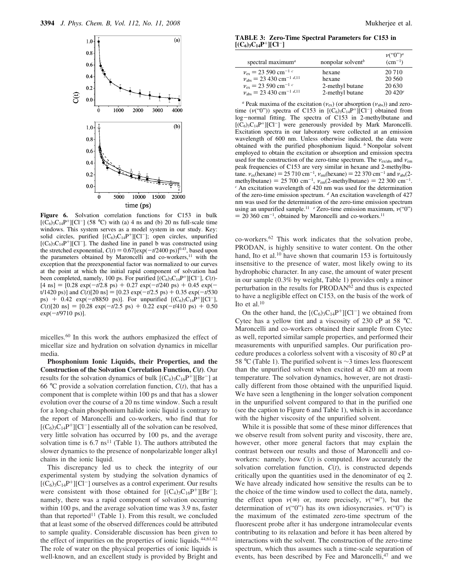

**Figure 6.** Solvation correlation functions for C153 in bulk  $[(\check{C}_6)_3C_{14}P^+][Cl^-]$  (58 °C) with (a) 4 ns and (b) 20 ns full-scale time windows. This system serves as a model system in our study. Key: solid circles, purified  $[(C_6)_3C_{14}P^+][Cl^-]$ ; open circles, unpurified  $[(C_6)_3C_{14}P^+][CI^-]$ . The dashed line in panel b was constructed using the stretched exponential,  $C(t) = 0.67[\exp(-t/2400 \text{ ps})]^{0.43}$ , based upon the parameters obtained by Maroncelli and co-workers, $11$  with the exception that the preexponential factor was normalized to our curves at the point at which the initial rapid component of solvation had been completed, namely, 100 ps. For purified  $[(C_6)_3C_{14}P^+][Cl^-]$ ,  $C(t)$ - $[4 \text{ ns}] = [0.28 \text{ exp}(-t/2.8 \text{ ps}) + 0.27 \text{ exp}(-t/240 \text{ ps}) + 0.45 \text{ exp}(-t/240 \text{ ps})]$  $t/1420 \text{ ps}$ ] and  $C(t)[20 \text{ ns}] = [0.23 \text{ exp}(-t/2.5 \text{ ps}) + 0.35 \text{ exp}(-t/530 \text{ s})]$ ps) + 0.42 exp( $-t/8850$  ps)]. For unpurified  $[(C_6)_3C_{14}P^+][Cl^-]$ ,  $C(t)[20 \text{ ns}] = [0.28 \text{ exp}(-t/2.5 \text{ ps}) + 0.22 \text{ exp}(-t/410 \text{ ps}) + 0.50$ exp(-*t*/9710 ps)].

micelles.<sup>60</sup> In this work the authors emphasized the effect of micellar size and hydration on solvation dynamics in micellar media.

**Phosphonium Ionic Liquids, their Properties, and the Construction of the Solvation Correlation Function,** *C***(***t***)**. Our results for the solvation dynamics of bulk  $[(C_4)_3C_{16}P^+][Br^-]$  at 66 °C provide a solvation correlation function,  $C(t)$ , that has a component that is complete within 100 ps and that has a slower evolution over the course of a 20 ns time window. Such a result for a long-chain phosphonium halide ionic liquid is contrary to the report of Maroncelli and co-workers, who find that for  $[(C_6)_3\hat{C}_{14}P^+][C^{\dagger}]$  essentially all of the solvation can be resolved, very little solvation has occurred by 100 ps, and the average solvation time is  $6.7 \text{ ns}^{11}$  (Table 1). The authors attributed the slower dynamics to the presence of nonpolarizable longer alkyl chains in the ionic liquid.

This discrepancy led us to check the integrity of our experimental system by studying the solvation dynamics of  $[(\hat{C}_6)_3C_{14}P^+][CI^-]$  ourselves as a control experiment. Our results were consistent with those obtained for  $[(C_4)_3C_{16}P^+][Br^-]$ ; namely, there was a rapid component of solvation occurring within 100 ps, and the average solvation time was 3.9 ns, faster than that reported<sup>11</sup> (Table 1). From this result, we concluded that at least some of the observed differences could be attributed to sample quality. Considerable discussion has been given to the effect of impurities on the properties of ionic liquids.<sup>44,61,62</sup> The role of water on the physical properties of ionic liquids is well-known, and an excellent study is provided by Bright and

**TABLE 3: Zero-Time Spectral Parameters for C153 in**  $[ (C_6)_3 C_{14} P^+ ] [C1^-]$ 

| spectral maximum <sup>a</sup>                   | nonpolar solvent <sup>b</sup> | $\nu$ ("0") <sup>a</sup><br>$(cm^{-1})$ |
|-------------------------------------------------|-------------------------------|-----------------------------------------|
| $v_{\rm ex}$ = 23 590 cm <sup>-1 c</sup>        | hexane                        | 20 710                                  |
| $v_{\text{abs}}$ = 23 430 cm <sup>-1 d,11</sup> | hexane                        | 20 560                                  |
| $v_{\rm ex}$ = 23 590 cm <sup>-1 c</sup>        | 2-methyl butane               | 20 630                                  |
| $v_{\text{abs}} = 23,430 \text{ cm}^{-1}$ d,11  | 2-methyl butane               | $20\,420^e$                             |

<sup>*a*</sup> Peak maxima of the excitation ( $v_{ex}$ ) (or absorption ( $v_{abs}$ )) and zerotime  $(\nu("0")$  spectra of C153 in  $[(C_6)_3C_{14}P^+]$ [Cl<sup>-</sup>] obtained from log-normal fitting. The spectra of C153 in 2-methylbutane and  $[(\tilde{C}_6)_3C_{14}P^+][Cl^-]$  were generously provided by Mark Maroncelli. Excitation spectra in our laboratory were collected at an emission wavelength of 600 nm. Unless otherwise indicated, the data were obtained with the purified phosphonium liquid. *<sup>b</sup>* Nonpolar solvent employed to obtain the excitation or absorption and emission spectra used for the construction of the zero-time spectrum. The  $v_{\text{ex/abs}}$  and  $v_{\text{em}}$ peak frequencies of C153 are very similar in hexane and 2-methylbutane.  $v_{\text{ex}}(\text{hexane}) = 25\,710 \text{ cm}^{-1}$ ,  $v_{\text{em}}(\text{hexane}) = 22\,370 \text{ cm}^{-1}$  and  $v_{\text{abs}}(2$ methylbutane) = 25 700 cm<sup>-1</sup>,  $v_{em}$ (2-methylbutane) = 22 300 cm<sup>-1</sup>. *<sup>c</sup>* An excitation wavelength of 420 nm was used for the determination of the zero-time emission spectrum. *<sup>d</sup>* An excitation wavelength of 427 nm was used for the determination of the zero-time emission spectrum using an unpurified sample.<sup>11</sup> *e* Zero-time emission maximum,  $\nu$ ("0")  $= 20,360 \text{ cm}^{-1}$ , obtained by Maroncelli and co-workers.<sup>11</sup>

co-workers.<sup>62</sup> This work indicates that the solvation probe, PRODAN, is highly sensitive to water content. On the other hand, Ito et al.<sup>10</sup> have shown that coumarin 153 is fortuitously insensitive to the presence of water, most likely owing to its hydrophobic character. In any case, the amount of water present in our sample (0.3% by weight, Table 1) provides only a minor perturbation in the results for PRODAN<sup>62</sup> and thus is expected to have a negligible effect on C153, on the basis of the work of Ito et al. $10$ 

On the other hand, the  $[(C_6)_3C_{14}P^+][Cl^-]$  we obtained from Cytec has a yellow tint and a viscosity of 230 cP at 58 °C. Maroncelli and co-workers obtained their sample from Cytec as well, reported similar sample properties, and performed their measurements with unpurified samples. Our purification procedure produces a colorless solvent with a viscosity of 80 cP at 58 °C (Table 1). The purified solvent is ∼3 times less fluorescent than the unpurified solvent when excited at 420 nm at room temperature. The solvation dynamics, however, are not drastically different from those obtained with the unpurified liquid. We have seen a lengthening in the longer solvation component in the unpurified solvent compared to that in the purified one (see the caption to Figure 6 and Table 1), which is in accordance with the higher viscosity of the unpurified solvent.

While it is possible that some of these minor differences that we observe result from solvent purity and viscosity, there are, however, other more general factors that may explain the contrast between our results and those of Maroncelli and coworkers: namely, how  $C(t)$  is computed. How accurately the solvation correlation function, *C*(*t*), is constructed depends critically upon the quantities used in the denominator of eq 2. We have already indicated how sensitive the results can be to the choice of the time window used to collect the data, namely, the effect upon  $\nu(\infty)$  or, more precisely,  $\nu(\infty)$ , but the determination of  $\nu$ ("0") has its own idiosyncrasies.  $\nu$ ("0") is the maximum of the estimated zero-time spectrum of the fluorescent probe after it has undergone intramolecular events contributing to its relaxation and before it has been altered by interactions with the solvent. The construction of the zero-time spectrum, which thus assumes such a time-scale separation of events, has been described by Fee and Maroncelli,<sup>47</sup> and we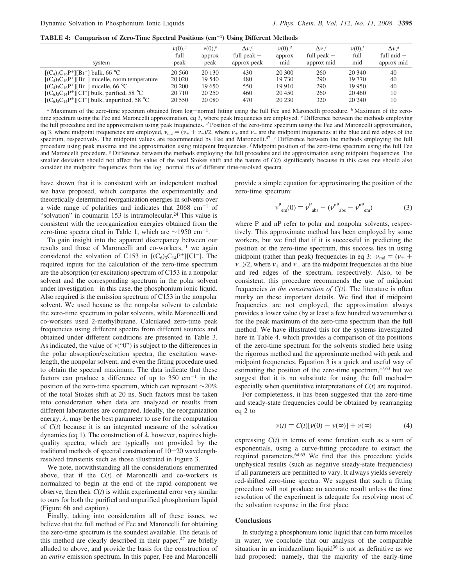**TABLE 4: Comparison of Zero-Time Spectral Positions (cm**-**<sup>1</sup> ) Using Different Methods**

| system                                               | $\nu(0)$ , <sup><i>a</i></sup> | $\nu(0)$ <sup>b</sup> | $\Delta\nu.^c$ | $\nu(0)$ , <sup>d</sup> | $\Delta \nu$ . <sup>e</sup> | $\nu(0)$ . | $\Delta\nu$ <sup>s</sup> |
|------------------------------------------------------|--------------------------------|-----------------------|----------------|-------------------------|-----------------------------|------------|--------------------------|
|                                                      | full                           | approx                | full peak $-$  | approx                  | full peak $-$               | full       | full $mid -$             |
|                                                      | peak                           | peak                  | approx peak    | mid                     | approx mid                  | mid        | approx mid               |
| $[(C_4)_3C_{16}P^+][Br^-]$ bulk, 66 °C               | 20 560                         | 20 130                | 430            | 20.300                  | 260                         | 20 340     | 40                       |
| $[(C_4)_3C_{16}P^+][Br^-]$ micelle, room temperature | 20 020                         | 19 540                | 480            | 19 730                  | 290                         | 19 770     | 40                       |
| $[(C_4)_3C_{16}P^+][Br^-]$ micelle, 66 °C            | 20 200                         | 19.650                | 550            | 19 9 10                 | 290                         | 19 950     | 40                       |
| $[(C_6)_3C_{14}P^+][Cl^-]$ bulk, purified, 58 °C     | 20 710                         | 20 250                | 460            | 20.450                  | 260                         | 20 460     | 10                       |
| $[(C_6)_3C_{14}P^+][Cl^-]$ bulk, unpurified, 58 °C   | 20 550                         | 20 080                | 470            | 20 230                  | 320                         | 20 240     | 10                       |

*<sup>a</sup>* Maximum of the zero-time spectrum obtained from log-normal fitting using the full Fee and Maroncelli procedure. *<sup>b</sup>* Maximum of the zerotime spectrum using the Fee and Maroncelli approximation, eq 3, where peak frequencies are employed. *<sup>c</sup>* Difference between the methods employing the full procedure and the approximation using peak frequencies. *<sup>d</sup>* Position of the zero-time spectrum using the Fee and Maroncelli approximation, eq 3, where midpoint frequencies are employed,  $v_{\text{md}} = (v_+ + v_-)/2$ , where  $v_+$  and  $v_-$  are the midpoint frequencies at the blue and red edges of the spectrum, respectively. The midpoint values are recommended by Fee and Maroncelli.<sup>47</sup> *e* Difference between the methods employing the full procedure using peak maxima and the approximation using midpoint frequencies. *<sup>f</sup>* Midpoint position of the zero-time spectrum using the full Fee and Maroncelli procedure. *<sup>g</sup>* Difference between the methods employing the full procedure and the approximation using midpoint frequencies. The smaller deviation should not affect the value of the total Stokes shift and the nature of  $C(t)$  significantly because in this case one should also consider the midpoint frequencies from the log-normal fits of different time-resolved spectra.

have shown that it is consistent with an independent method we have proposed, which compares the experimentally and theoretically determined reorganization energies in solvents over a wide range of polarities and indicates that  $2068 \text{ cm}^{-1}$  of "solvation" in coumarin 153 is intramolecular.<sup>24</sup> This value is consistent with the reorganization energies obtained from the zero-time spectra cited in Table 1, which are ∼1950 cm-<sup>1</sup> .

To gain insight into the apparent discrepancy between our results and those of Maroncelli and co-workers,<sup>11</sup> we again considered the solvation of C153 in  $[(C_6)_3C_{14}P^+][Cl^-]$ . The required inputs for the calculation of the zero-time spectrum are the absorption (or excitation) spectrum of C153 in a nonpolar solvent and the corresponding spectrum in the polar solvent under investigation—in this case, the phosphonium ionic liquid. Also required is the emission spectrum of C153 in the nonpolar solvent. We used hexane as the nonpolar solvent to calculate the zero-time spectrum in polar solvents, while Maroncelli and co-workers used 2-methylbutane. Calculated zero-time peak frequencies using different spectra from different sources and obtained under different conditions are presented in Table 3. As indicated, the value of  $v("0")$  is subject to the differences in the polar absorption/excitation spectra, the excitation wavelength, the nonpolar solvent, and even the fitting procedure used to obtain the spectral maximum. The data indicate that these factors can produce a difference of up to  $350 \text{ cm}^{-1}$  in the position of the zero-time spectrum, which can represent ∼20% of the total Stokes shift at 20 ns. Such factors must be taken into consideration when data are analyzed or results from different laboratories are compared. Ideally, the reorganization energy,  $\lambda$ , may be the best parameter to use for the computation of *C*(*t*) because it is an integrated measure of the solvation dynamics (eq 1). The construction of  $λ$ , however, requires highquality spectra, which are typically not provided by the traditional methods of spectral construction of 10-20 wavelengthresolved transients such as those illustrated in Figure 3.

We note, notwithstanding all the considerations enumerated above, that if the *C*(*t*) of Maroncelli and co-workers is normalized to begin at the end of the rapid component we observe, then their  $C(t)$  is within experimental error very similar to ours for both the purified and unpurified phosphonium liquid (Figure 6b and caption).

Finally, taking into consideration all of these issues, we believe that the full method of Fee and Maroncelli for obtaining the zero-time spectrum is the soundest available. The details of this method are clearly described in their paper,<sup>47</sup> are briefly alluded to above, and provide the basis for the construction of an *entire* emission spectrum. In this paper, Fee and Maroncelli

provide a simple equation for approximating the position of the zero-time spectrum:

$$
\nu_{\text{em}}^{\text{P}}(0) = \nu_{\text{abs}}^{\text{P}} - (\nu_{\text{abs}}^{\text{nP}} - \nu_{\text{em}}^{\text{nP}})
$$
 (3)

where P and nP refer to polar and nonpolar solvents, respectively. This approximate method has been employed by some workers, but we find that if it is successful in predicting the position of the zero-time spectrum, this success lies in using midpoint (rather than peak) frequencies in eq 3:  $v_{\text{md}} = (v_+ +$  $\nu$ -)/2, where  $\nu$ <sub>+</sub> and  $\nu$ - are the midpoint frequencies at the blue and red edges of the spectrum, respectively. Also, to be consistent, this procedure recommends the use of midpoint frequencies *in the construction of*  $C(t)$ . The literature is often murky on these important details. We find that if midpoint frequencies are not employed, the approximation always provides a lower value (by at least a few hundred wavenumbers) for the peak maximum of the zero-time spectrum than the full method. We have illustrated this for the systems investigated here in Table 4, which provides a comparison of the positions of the zero-time spectrum for the solvents studied here using the rigorous method and the approximate method with peak and midpoint frequencies. Equation 3 is a quick and useful way of estimating the position of the zero-time spectrum,<sup>37,63</sup> but we suggest that it is no substitute for using the full methodespecially when quantitative interpretations of *C*(*t*) are required.

For completeness, it has been suggested that the zero-time and steady-state frequencies could be obtained by rearranging eq 2 to

$$
\nu(t) = C(t)[\nu(0) - \nu(\infty)] + \nu(\infty) \tag{4}
$$

expressing  $C(t)$  in terms of some function such as a sum of exponentials, using a curve-fitting procedure to extract the required parameters.64,65 We find that this procedure yields unphysical results (such as negative steady-state frequencies) if all parameters are permitted to vary. It always yields severely red-shifted zero-time spectra. We suggest that such a fitting procedure will not produce an accurate result unless the time resolution of the experiment is adequate for resolving most of the solvation response in the first place.

#### **Conclusions**

In studying a phosphonium ionic liquid that can form micelles in water, we conclude that our analysis of the comparable situation in an imidazolium liquid $36$  is not as definitive as we had proposed: namely, that the majority of the early-time